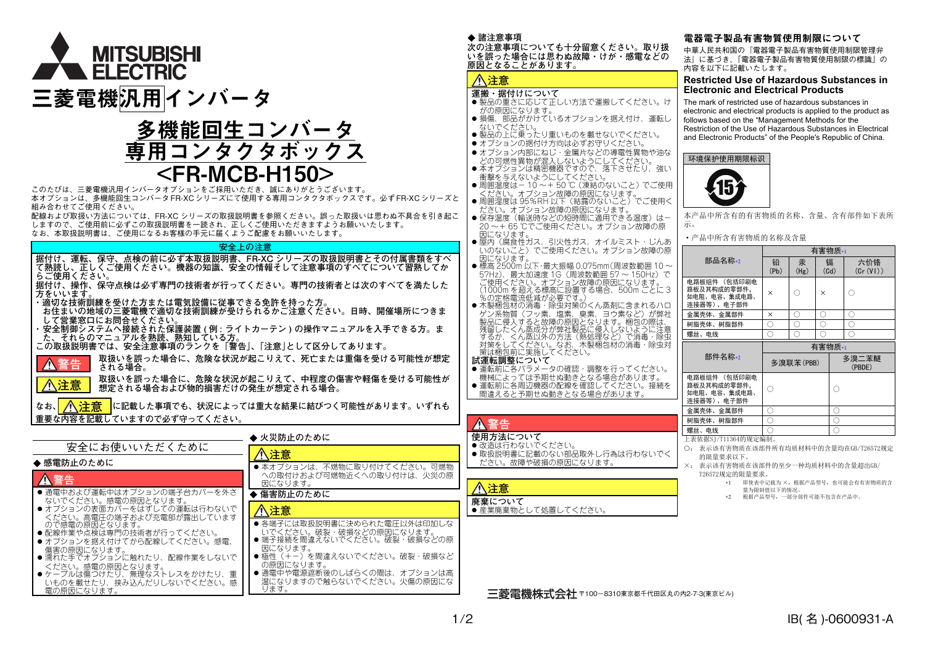

# 多機能回生コンバータ 専用コンタクタボックス  $<$ FR-MCB-H1 $\,$

このたびは、三菱電機汎用インバータオプションをご採用いただき、誠にありがとうございます。 本オプションは、多機能回生コンバータFR-XCシリーズにて使用する専用コンタクタボックスです。必ずFR-XCシリーズと組み合わせてご使用ください。 配線および取扱い方法については、FR-XC シリーズの取扱説明書を参照ください。誤った取扱いは思わぬ不具合を引き起こ しますので、ご使用前に必ずこの取扱説明書を一読され、正しくご使用いただきますようお願いいたします。

なお、本取扱説明書は、ご使用になるお客様の手元に届くようご配慮をお願いいたします。

### **安全上の注意**

 **据付け、運転、保守、点検の前に必ず本取扱説明書、FR-XC シリーズの取扱説明書とその付属書類をすべ て熟読し、正しくご使用ください。機器の知識、安全の情報そして注意事項のすべてについて習熟してか らご使用ください。**

 **据付け、操作、保守点検は必ず専門の技術者が行ってください。専門の技術者とは次のすべてを満たした方をいいます。**

**・適切な技術訓練を受けた方または電気設備に従事できる免許を持った方。**

**注意**

**お住まいの地域の三菱電機で適切な技術訓練が受けられるかご注意ください。日時、開催場所につきま して営業窓口にお問合せください。**

**・ 安全制御システムへ接続された保護装置 ( <sup>例</sup> : ライトカーテン ) の操作マニュアルを入手できる方。ま た、それらのマニュアルを熟読、熟知している方。**

**この取扱説明書では、安全注意事項のランクを「警告」、「注意」として区分してあります。**

 **取扱いを誤った場合に、危険な状況が起こりえて、死亡または重傷を受ける可能性が想定 される場合。 警告**

**取扱いを誤った場合に、危険な状況が起こりえて、中程度の傷害や軽傷を受ける可能性が想定される場合および物的損害だけの発生が想定される場合。**

なお、<mark>| / \注音 |</mark>に記載した事項でも、状況によっては重大な結果に結びつく可能性があります。いずれも **重要な内容を記載していますので必ず守ってください。 注意**

|                                                                           | ▶ 火災防止のために                                                                           |           |  |  |
|---------------------------------------------------------------------------|--------------------------------------------------------------------------------------|-----------|--|--|
| 安全にお使いいただくために                                                             | 八注意                                                                                  |           |  |  |
| ◆ 感雷防止のために                                                                | ● 本オプションは、不燃物に取り付けてください。可燃物                                                          |           |  |  |
| 警告                                                                        | への取付けおよび可燃物近くへの取り付けは、火災の原<br>因になります。                                                 | $\Lambda$ |  |  |
| ● 通電中および運転中はオプションの端子台カバーを外さ<br>ないでください。感電の原因となります。                        | ▶ 傷害防止のために                                                                           |           |  |  |
| ● オプションの表面カバーをはずしての運転は行わないで<br>ください。高電圧の端子および充電部が露出しています                  | /注意                                                                                  | 廃。        |  |  |
| ので感電の原因となります。<br>● 配線作業や点検は専門の技術者が行ってください。<br>● オプションを据え付けてから配線してください。感電、 | ● 各端子には取扱説明書に決められた電圧以外は印加しな<br>いでください。破裂・破損などの原因になります。<br>●端子接続を間違えないでください。破裂·破損などの原 |           |  |  |
| 傷害の原因になります。<br>● 濡れた手でオプションに触れたり、配線作業をしないで<br>ください。感電の原因となります。            | 因になります。<br>● 極性(+-) を間違えないでください。破裂・破損など<br>の原因になります。                                 |           |  |  |
| ● ケーブルは傷つけたり、無理なストレスをかけたり、重<br>いものを載せたり、挟み込んだりしないでください。感<br>電の原因になります。    | ● 通電中や電源遮断後のしばらくの間は、オプションは高<br>温になりますので触らないでください。火傷の原因にな<br>ります。                     |           |  |  |

### ◆ 諸注意事項

 **次の注意事項についても十分留意ください。取り扱 いを誤った場合には思わぬ故障・けが・感電などの原因となることがあります。**

# **注意**

# **運搬・据付けについて**

- ●製品の重さに応じて正しい方法で運搬してください。け がの原因になります。
- 損傷、部品がかけているオプションを据え付け、運転し ないでください。
- 製品の上に乗ったり重いものを載せないでください。
- オプションの据付け方向は必ずお守りください。

オプション内部にねじ・金属片などの導電性異物や油な どの可燃性異物が混入しないようにしてください。

- 本オプションは精密機器ですので、落下させたり、強い衝撃を与えないようにしてください。
- 周囲温度は- 10 ~+ 50 ℃(凍結のないこと)でご使用 ください。オプション故障の原因になります。
- 周囲湿度は 95%RH 以下(結露のないこと)でご使用く
- —ださい。オプション故障の原因になります。<br>● 保存温度(輸送時などの短時間に適用できる温度)は- 20 ~+ 65 ℃でご使用ください。オプション故障の原 因になります。
- 屋内(腐食性ガス、引火性ガス、オイルミスト・じんあ いのないこと)でご使用ください。オプション故障の原
- 因になります。<br>● 標高 2500m 以下・最大振幅 0.075mm(周波数範囲 10 ~ 57Hz)、最大加速度 1G(周波数範囲 57 〜 150Hz)で<br>ご使用ください。オブション故障の原因になります。<br>(1000m を超える標高に設置する場合、500m ごとに 3

%の定格電流低減が必要です。) 木製梱包材の消毒・除虫対策のくん蒸剤に含まれるハロ ゲン系物質(フッ素、塩素、臭素、ヨウ素など)が弊社 製品に侵入すると故障の原因となります。梱包の際は、 残留したくん蒸成分が弊社製品に侵入しないように注意 するか、くん蒸以外の方法(熱処理など)で消毒・除虫対策をしてください。なお、木製梱包材の消毒・除虫対 策は梱包前に実施してください。

#### **試運転調整について**

● 運転前に各パラメータの確認・調整を行ってください。

 機械によっては予期せぬ動きとなる場合があります。 運転前に各周辺機器の配線を確認してください。接続を 間違えると予期せぬ動きとなる場合があります。

# **警告**

- **使用方法について**●改造は行わないでください。
- 取扱説明書に記載のない部品取外し行為は行わないでく ださい。故障や破損の原因になります。

**注意廃棄について**●産業廃棄物として処置してください。

# 電器電子製品有害物質使用制限について

中華人民共和国の『電器電子製品有害物質使用制限管理弁 法』に基づき、「電器電子製品有害物質使用制限の標識」の内容を以下に記載いたします。

#### **Restricted Use of Hazardous Substances in Electronic and Electrical Products**

The mark of restricted use of hazardous substances in electronic and electrical products is applied to the product as follows based on the "Management Methods for the Restriction of the Use of Hazardous Substances in Electrical and Electronic Products" of the People's Republic of China.

# 环境保护使用期限标识



本产品中所含有的有害物质的名称、含量、含有部件如下表所示。

#### ·产品中所含有害物质的名称及含量

|                                                            | 有害物质*1    |           |           |     |                 |  |
|------------------------------------------------------------|-----------|-----------|-----------|-----|-----------------|--|
| 部品名称*2                                                     | 铅<br>(Pb) | 汞<br>(Hg) | 镉<br>(Cd) |     | 六价铬<br>(Cr(V))  |  |
| 电路板组件 (包括印刷电<br>路板及其构成的零部件,<br>如电阻、电容、集成电路、<br>连接器等)、 电子部件 | $\times$  | ∩         | $\times$  |     |                 |  |
| 金属壳体、金属部件                                                  | $\times$  | ∩         | C         |     | ∩               |  |
| 树脂壳体、树脂部件                                                  | 0         | C)        | C         |     | ∩               |  |
| 螺丝、电线                                                      |           | C)        |           |     | С.              |  |
| 部件名称*2                                                     | 有害物质*1    |           |           |     |                 |  |
|                                                            | 多溴联苯(PBB) |           |           |     | 多溴二苯醚<br>(PBDE) |  |
| 电路板组件 (包括印刷电<br>路板及其构成的零部件,<br>如电阻、电容、集成电路、<br>连接器等)、电子部件  |           |           |           | C   |                 |  |
| 金属壳体、金属部件                                                  | ( )       |           |           | ( ) |                 |  |
| 树脂壳体、树脂部件                                                  | Ξ.        |           |           | c   |                 |  |
| 螺丝、电线                                                      |           |           |           |     |                 |  |
|                                                            |           |           |           |     |                 |  |

- ○: 表示该有害物质在该部件所有均质材料中的含量均在GB/T26572规定 的限量要求以下。
- <span id="page-0-1"></span><span id="page-0-0"></span>表示该有害物质在该部件的至少一种均质材料中的含量超出GB/ T26572规定的限量要求。

∗1 即使表中记载为 ×,根据产品型号,也可能会有有害物质的含 量为限制值以下的情况。

∗2 根据产品型号,一部分部件可能不包含在产品中。

三菱雷機株式会社 〒100-8310東京都千代田区丸の内2-7-3(東京ビル)